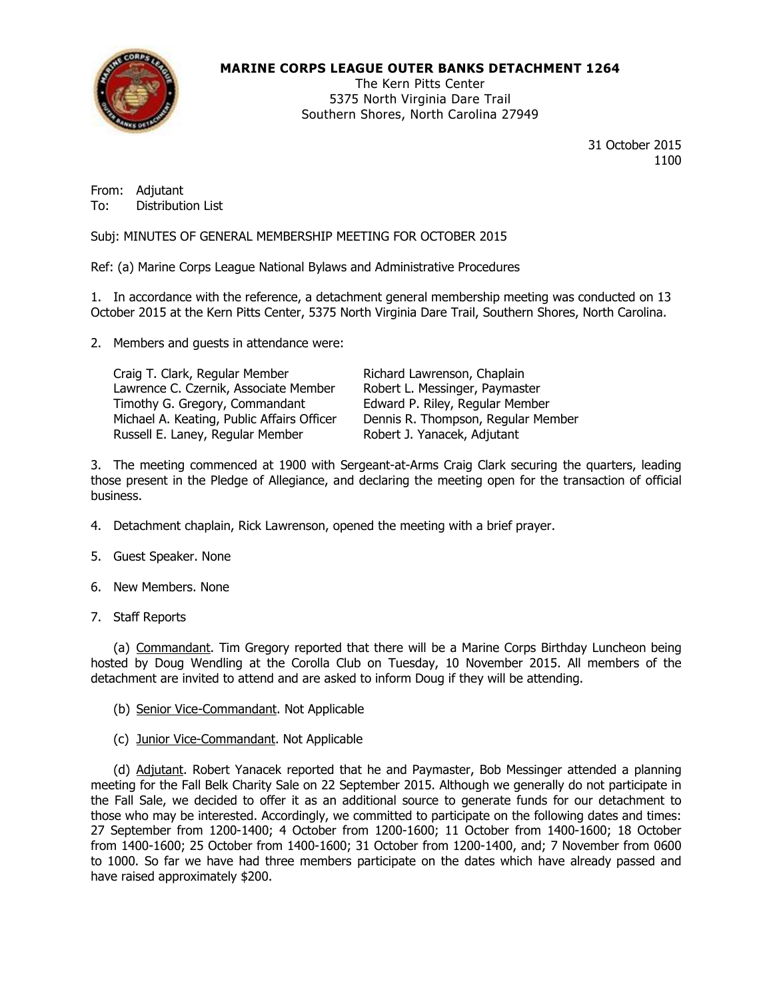

# **MARINE CORPS LEAGUE OUTER BANKS DETACHMENT 1264**

The Kern Pitts Center 5375 North Virginia Dare Trail Southern Shores, North Carolina 27949

> 31 October 2015 1100

From: Adjutant To: Distribution List

Subj: MINUTES OF GENERAL MEMBERSHIP MEETING FOR OCTOBER 2015

Ref: (a) Marine Corps League National Bylaws and Administrative Procedures

1. In accordance with the reference, a detachment general membership meeting was conducted on 13 October 2015 at the Kern Pitts Center, 5375 North Virginia Dare Trail, Southern Shores, North Carolina.

2. Members and guests in attendance were:

Craig T. Clark, Regular Member [1] Richard Lawrenson, Chaplain<br>Lawrence C. Czernik, Associate Member [1] Robert L. Messinger, Paymaster Lawrence C. Czernik, Associate Member Timothy G. Gregory, Commandant Edward P. Riley, Regular Member Michael A. Keating, Public Affairs Officer Dennis R. Thompson, Regular Member Russell E. Laney, Regular Member Robert J. Yanacek, Adjutant

3. The meeting commenced at 1900 with Sergeant-at-Arms Craig Clark securing the quarters, leading those present in the Pledge of Allegiance, and declaring the meeting open for the transaction of official business.

- 4. Detachment chaplain, Rick Lawrenson, opened the meeting with a brief prayer.
- 5. Guest Speaker. None
- 6. New Members. None
- 7. Staff Reports

(a) Commandant. Tim Gregory reported that there will be a Marine Corps Birthday Luncheon being hosted by Doug Wendling at the Corolla Club on Tuesday, 10 November 2015. All members of the detachment are invited to attend and are asked to inform Doug if they will be attending.

- (b) Senior Vice-Commandant. Not Applicable
- (c) Junior Vice-Commandant. Not Applicable

(d) Adjutant. Robert Yanacek reported that he and Paymaster, Bob Messinger attended a planning meeting for the Fall Belk Charity Sale on 22 September 2015. Although we generally do not participate in the Fall Sale, we decided to offer it as an additional source to generate funds for our detachment to those who may be interested. Accordingly, we committed to participate on the following dates and times: 27 September from 1200-1400; 4 October from 1200-1600; 11 October from 1400-1600; 18 October from 1400-1600; 25 October from 1400-1600; 31 October from 1200-1400, and; 7 November from 0600 to 1000. So far we have had three members participate on the dates which have already passed and have raised approximately \$200.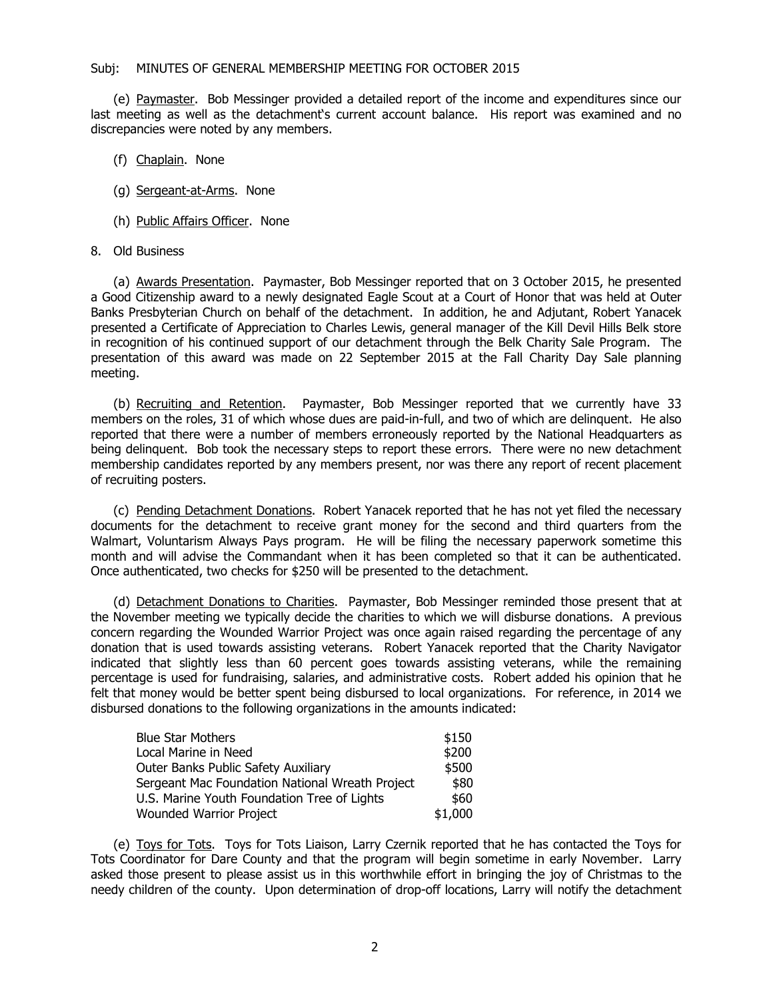## Subj: MINUTES OF GENERAL MEMBERSHIP MEETING FOR OCTOBER 2015

(e) Paymaster. Bob Messinger provided a detailed report of the income and expenditures since our last meeting as well as the detachment's current account balance. His report was examined and no discrepancies were noted by any members.

- (f) Chaplain. None
- (g) Sergeant-at-Arms. None
- (h) Public Affairs Officer. None

# 8. Old Business

(a) Awards Presentation. Paymaster, Bob Messinger reported that on 3 October 2015, he presented a Good Citizenship award to a newly designated Eagle Scout at a Court of Honor that was held at Outer Banks Presbyterian Church on behalf of the detachment. In addition, he and Adjutant, Robert Yanacek presented a Certificate of Appreciation to Charles Lewis, general manager of the Kill Devil Hills Belk store in recognition of his continued support of our detachment through the Belk Charity Sale Program. The presentation of this award was made on 22 September 2015 at the Fall Charity Day Sale planning meeting.

(b) Recruiting and Retention. Paymaster, Bob Messinger reported that we currently have 33 members on the roles, 31 of which whose dues are paid-in-full, and two of which are delinquent. He also reported that there were a number of members erroneously reported by the National Headquarters as being delinquent. Bob took the necessary steps to report these errors. There were no new detachment membership candidates reported by any members present, nor was there any report of recent placement of recruiting posters.

(c) Pending Detachment Donations. Robert Yanacek reported that he has not yet filed the necessary documents for the detachment to receive grant money for the second and third quarters from the Walmart, Voluntarism Always Pays program. He will be filing the necessary paperwork sometime this month and will advise the Commandant when it has been completed so that it can be authenticated. Once authenticated, two checks for \$250 will be presented to the detachment.

(d) Detachment Donations to Charities. Paymaster, Bob Messinger reminded those present that at the November meeting we typically decide the charities to which we will disburse donations. A previous concern regarding the Wounded Warrior Project was once again raised regarding the percentage of any donation that is used towards assisting veterans. Robert Yanacek reported that the Charity Navigator indicated that slightly less than 60 percent goes towards assisting veterans, while the remaining percentage is used for fundraising, salaries, and administrative costs. Robert added his opinion that he felt that money would be better spent being disbursed to local organizations. For reference, in 2014 we disbursed donations to the following organizations in the amounts indicated:

| <b>Blue Star Mothers</b>                        | \$150   |
|-------------------------------------------------|---------|
| Local Marine in Need                            | \$200   |
| Outer Banks Public Safety Auxiliary             | \$500   |
| Sergeant Mac Foundation National Wreath Project | \$80    |
| U.S. Marine Youth Foundation Tree of Lights     | \$60    |
| Wounded Warrior Project                         | \$1,000 |

(e) Toys for Tots. Toys for Tots Liaison, Larry Czernik reported that he has contacted the Toys for Tots Coordinator for Dare County and that the program will begin sometime in early November. Larry asked those present to please assist us in this worthwhile effort in bringing the joy of Christmas to the needy children of the county. Upon determination of drop-off locations, Larry will notify the detachment